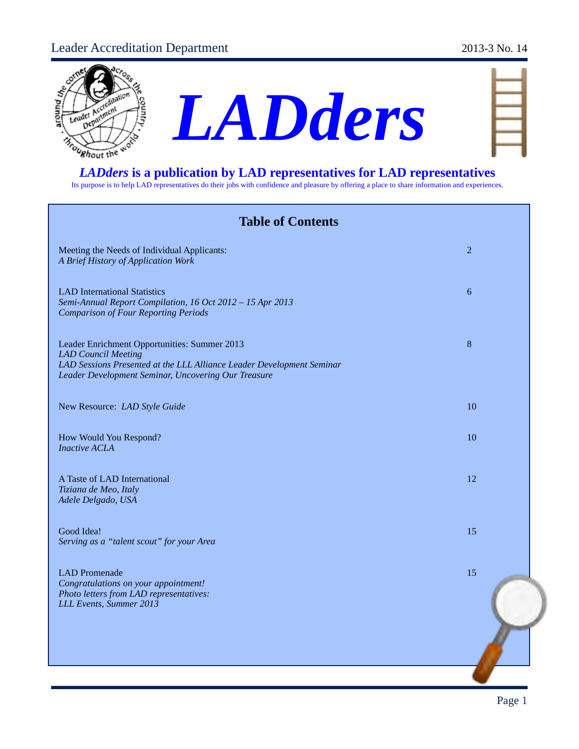# Leader Accreditation Department 2013-3 No. 14





| __ |             |
|----|-------------|
|    |             |
| M  | <b>TANK</b> |
|    |             |
| b. |             |
|    |             |

Its purpose is to help LAD representatives do their jobs with confidence and pleasure by offering a place to share information and experiences.

| <b>Table of Contents</b>                                                                                                                                                                                   |                |
|------------------------------------------------------------------------------------------------------------------------------------------------------------------------------------------------------------|----------------|
| Meeting the Needs of Individual Applicants:<br>A Brief History of Application Work                                                                                                                         | $\overline{2}$ |
| <b>LAD International Statistics</b><br>Semi-Annual Report Compilation, 16 Oct 2012 - 15 Apr 2013<br><b>Comparison of Four Reporting Periods</b>                                                            | 6              |
| Leader Enrichment Opportunities: Summer 2013<br><b>LAD</b> Council Meeting<br>LAD Sessions Presented at the LLL Alliance Leader Development Seminar<br>Leader Development Seminar, Uncovering Our Treasure | 8              |
| New Resource: LAD Style Guide                                                                                                                                                                              | 10             |
| How Would You Respond?<br><b>Inactive ACLA</b>                                                                                                                                                             | 10             |
| A Taste of LAD International<br>Tiziana de Meo, Italy<br>Adele Delgado, USA                                                                                                                                | 12             |
| Good Idea!<br>Serving as a "talent scout" for your Area                                                                                                                                                    | 15             |
| <b>LAD</b> Promenade<br>Congratulations on your appointment!<br>Photo letters from LAD representatives:<br>LLL Events, Summer 2013                                                                         | 15             |
|                                                                                                                                                                                                            |                |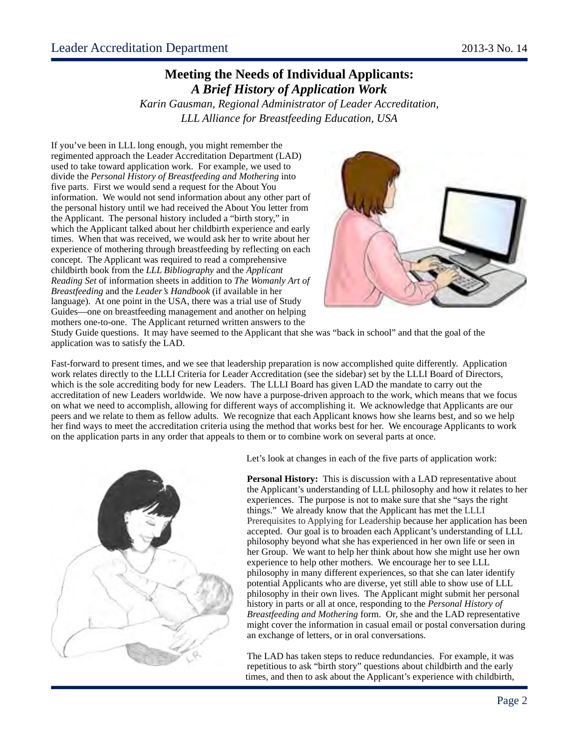### **Meeting the Needs of Individual Applicants:** *A Brief History of Application Work*

*Karin Gausman, Regional Administrator of Leader Accreditation, LLL Alliance for Breastfeeding Education, USA*

If you've been in LLL long enough, you might remember the regimented approach the Leader Accreditation Department (LAD) used to take toward application work. For example, we used to divide the *Personal History of Breastfeeding and Mothering* into five parts. First we would send a request for the About You information. We would not send information about any other part of the personal history until we had received the About You letter from the Applicant. The personal history included a "birth story," in which the Applicant talked about her childbirth experience and early times. When that was received, we would ask her to write about her experience of mothering through breastfeeding by reflecting on each concept. The Applicant was required to read a comprehensive childbirth book from the *LLL Bibliography* and the *Applicant Reading Set* of information sheets in addition to *The Womanly Art of Breastfeeding* and the *Leader's Handbook* (if available in her language). At one point in the USA, there was a trial use of Study Guides—one on breastfeeding management and another on helping mothers one-to-one. The Applicant returned written answers to the



Study Guide questions. It may have seemed to the Applicant that she was "back in school" and that the goal of the application was to satisfy the LAD.

Fast-forward to present times, and we see that leadership preparation is now accomplished quite differently. Application work relates directly to the LLLI Criteria for Leader Accreditation (see the sidebar) set by the LLLI Board of Directors, which is the sole accrediting body for new Leaders. The LLLI Board has given LAD the mandate to carry out the accreditation of new Leaders worldwide. We now have a purpose-driven approach to the work, which means that we focus on what we need to accomplish, allowing for different ways of accomplishing it. We acknowledge that Applicants are our peers and we relate to them as fellow adults. We recognize that each Applicant knows how she learns best, and so we help her find ways to meet the accreditation criteria using the method that works best for her. We encourage Applicants to work on the application parts in any order that appeals to them or to combine work on several parts at once.





**Personal History:** This is discussion with a LAD representative about the Applicant's understanding of LLL philosophy and how it relates to her experiences. The purpose is not to make sure that she "says the right things." We already know that the Applicant has met the LLLI Prerequisites to Applying for Leadership because her application has been accepted. Our goal is to broaden each Applicant's understanding of LLL philosophy beyond what she has experienced in her own life or seen in her Group. We want to help her think about how she might use her own experience to help other mothers. We encourage her to see LLL philosophy in many different experiences, so that she can later identify potential Applicants who are diverse, yet still able to show use of LLL philosophy in their own lives. The Applicant might submit her personal history in parts or all at once, responding to the *Personal History of Breastfeeding and Mothering* form. Or, she and the LAD representative might cover the information in casual email or postal conversation during an exchange of letters, or in oral conversations.

The LAD has taken steps to reduce redundancies. For example, it was repetitious to ask "birth story" questions about childbirth and the early times, and then to ask about the Applicant's experience with childbirth,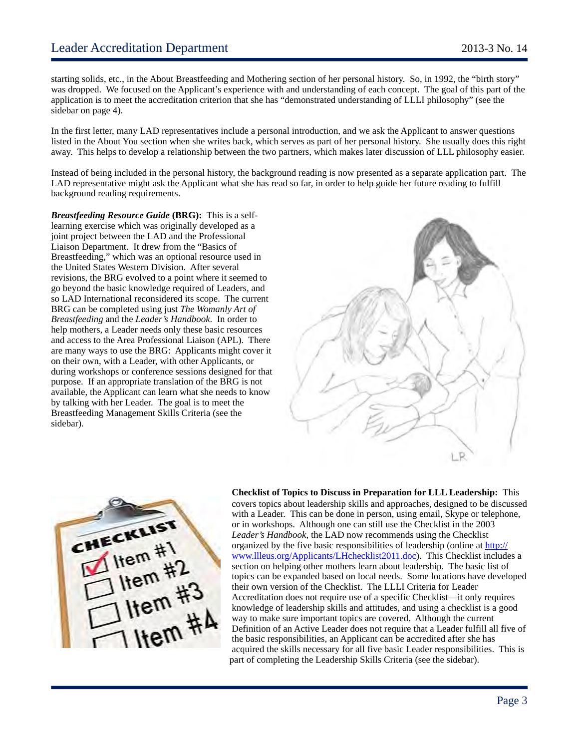starting solids, etc., in the About Breastfeeding and Mothering section of her personal history. So, in 1992, the "birth story" was dropped. We focused on the Applicant's experience with and understanding of each concept. The goal of this part of the application is to meet the accreditation criterion that she has "demonstrated understanding of LLLI philosophy" (see the sidebar on page 4).

In the first letter, many LAD representatives include a personal introduction, and we ask the Applicant to answer questions listed in the About You section when she writes back, which serves as part of her personal history. She usually does this right away. This helps to develop a relationship between the two partners, which makes later discussion of LLL philosophy easier.

Instead of being included in the personal history, the background reading is now presented as a separate application part. The LAD representative might ask the Applicant what she has read so far, in order to help guide her future reading to fulfill background reading requirements.

*Breastfeeding Resource Guide* **(BRG):** This is a selflearning exercise which was originally developed as a joint project between the LAD and the Professional Liaison Department. It drew from the "Basics of Breastfeeding," which was an optional resource used in the United States Western Division. After several revisions, the BRG evolved to a point where it seemed to go beyond the basic knowledge required of Leaders, and so LAD International reconsidered its scope. The current BRG can be completed using just *The Womanly Art of Breastfeeding* and the *Leader's Handbook*. In order to help mothers, a Leader needs only these basic resources and access to the Area Professional Liaison (APL). There are many ways to use the BRG: Applicants might cover it on their own, with a Leader, with other Applicants, or during workshops or conference sessions designed for that purpose. If an appropriate translation of the BRG is not available, the Applicant can learn what she needs to know by talking with her Leader. The goal is to meet the Breastfeeding Management Skills Criteria (see the sidebar)*.* 





**Checklist of Topics to Discuss in Preparation for LLL Leadership:** This covers topics about leadership skills and approaches, designed to be discussed with a Leader. This can be done in person, using email, Skype or telephone, or in workshops. Although one can still use the Checklist in the 2003 *Leader's Handbook,* the LAD now recommends using the Checklist organized by the five basic responsibilities of leadership (online at [http://](http://www.llleus.org/Applicants/LHchecklist2011.doc) [www.llleus.org/Applicants/LHchecklist2011.doc\)](http://www.llleus.org/Applicants/LHchecklist2011.doc). This Checklist includes a section on helping other mothers learn about leadership. The basic list of topics can be expanded based on local needs. Some locations have developed their own version of the Checklist. The LLLI Criteria for Leader Accreditation does not require use of a specific Checklist—it only requires knowledge of leadership skills and attitudes, and using a checklist is a good way to make sure important topics are covered. Although the current Definition of an Active Leader does not require that a Leader fulfill all five of the basic responsibilities, an Applicant can be accredited after she has acquired the skills necessary for all five basic Leader responsibilities. This is part of completing the Leadership Skills Criteria (see the sidebar).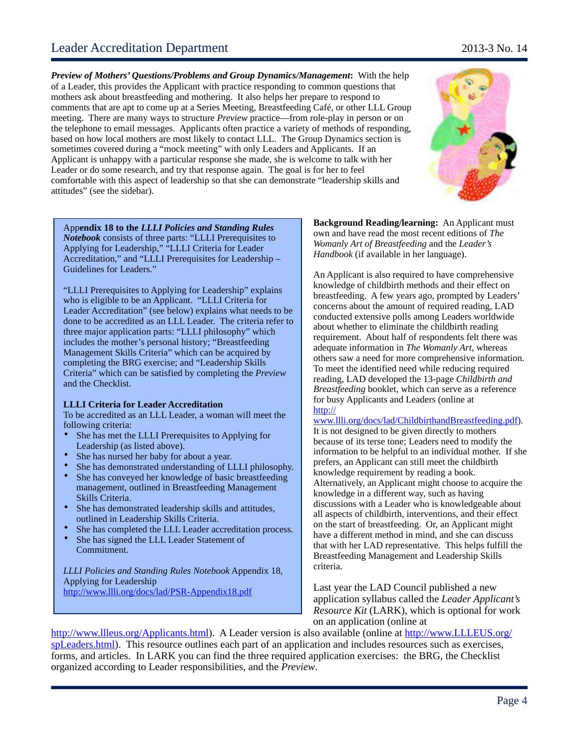## Leader Accreditation Department 2013-3 No. 14

*Preview of Mothers' Questions/Problems and Group Dynamics/Management***:** With the help of a Leader, this provides the Applicant with practice responding to common questions that mothers ask about breastfeeding and mothering. It also helps her prepare to respond to comments that are apt to come up at a Series Meeting, Breastfeeding Café, or other LLL Group meeting. There are many ways to structure *Preview* practice—from role-play in person or on the telephone to email messages. Applicants often practice a variety of methods of responding, based on how local mothers are most likely to contact LLL. The Group Dynamics section is sometimes covered during a "mock meeting" with only Leaders and Applicants. If an Applicant is unhappy with a particular response she made, she is welcome to talk with her Leader or do some research, and try that response again. The goal is for her to feel comfortable with this aspect of leadership so that she can demonstrate "leadership skills and attitudes" (see the sidebar).

**Background Reading/learning:** An Applicant must own and have read the most recent editions of *The Womanly Art of Breastfeeding* and the *Leader's Handbook* (if available in her language).

An Applicant is also required to have comprehensive knowledge of childbirth methods and their effect on breastfeeding. A few years ago, prompted by Leaders' concerns about the amount of required reading, LAD conducted extensive polls among Leaders worldwide about whether to eliminate the childbirth reading requirement. About half of respondents felt there was adequate information in *The Womanly Art*, whereas others saw a need for more comprehensive information. To meet the identified need while reducing required reading, LAD developed the 13-page *Childbirth and Breastfeeding* booklet, which can serve as a reference for busy Applicants and Leaders (online at [http://](http://www.llli.org/docs/lad/ChildbirthandBreastfeeding.pdf)

[www.llli.org/docs/lad/ChildbirthandBreastfeeding.pdf\)](http://www.llli.org/docs/lad/ChildbirthandBreastfeeding.pdf). It is not designed to be given directly to mothers because of its terse tone; Leaders need to modify the information to be helpful to an individual mother. If she prefers, an Applicant can still meet the childbirth knowledge requirement by reading a book. Alternatively, an Applicant might choose to acquire the knowledge in a different way, such as having discussions with a Leader who is knowledgeable about all aspects of childbirth, interventions, and their effect on the start of breastfeeding. Or, an Applicant might have a different method in mind, and she can discuss that with her LAD representative. This helps fulfill the Breastfeeding Management and Leadership Skills criteria.

Last year the LAD Council published a new application syllabus called the *Leader Applicant's Resource Kit* (LARK), which is optional for work on an application (online at

[http://www.llleus.org/Applicants.html\)](http://www.llleus.org/Applicants.html). A Leader version is also available (online at [http://www.LLLEUS.org/](http://www.LLLEUS.org/spLeaders.html) [spLeaders.html\)](http://www.LLLEUS.org/spLeaders.html). This resource outlines each part of an application and includes resources such as exercises, forms, and articles. In LARK you can find the three required application exercises: the BRG, the Checklist organized according to Leader responsibilities, and the *Preview*.

App**endix 18 to the** *LLLI Policies and Standing Rules Notebook* consists of three parts: "LLLI Prerequisites to Applying for Leadership," "LLLI Criteria for Leader Accreditation," and "LLLI Prerequisites for Leadership – Guidelines for Leaders."

"LLLI Prerequisites to Applying for Leadership" explains who is eligible to be an Applicant. "LLLI Criteria for Leader Accreditation" (see below) explains what needs to be done to be accredited as an LLL Leader. The criteria refer to three major application parts: "LLLI philosophy" which includes the mother's personal history; "Breastfeeding Management Skills Criteria" which can be acquired by completing the BRG exercise; and "Leadership Skills Criteria" which can be satisfied by completing the *Preview* and the Checklist.

#### **LLLI Criteria for Leader Accreditation**

To be accredited as an LLL Leader, a woman will meet the following criteria:

- She has met the LLLI Prerequisites to Applying for Leadership (as listed above).
- She has nursed her baby for about a year.
- She has demonstrated understanding of LLLI philosophy.
- She has conveyed her knowledge of basic breastfeeding management, outlined in Breastfeeding Management Skills Criteria.
- She has demonstrated leadership skills and attitudes, outlined in Leadership Skills Criteria.
- She has completed the LLL Leader accreditation process.
- She has signed the LLL Leader Statement of Commitment.

*LLLI Policies and Standing Rules Notebook* Appendix 18, Applying for Leadership <http://www.llli.org/docs/lad/PSR-Appendix18.pdf>

Page 4

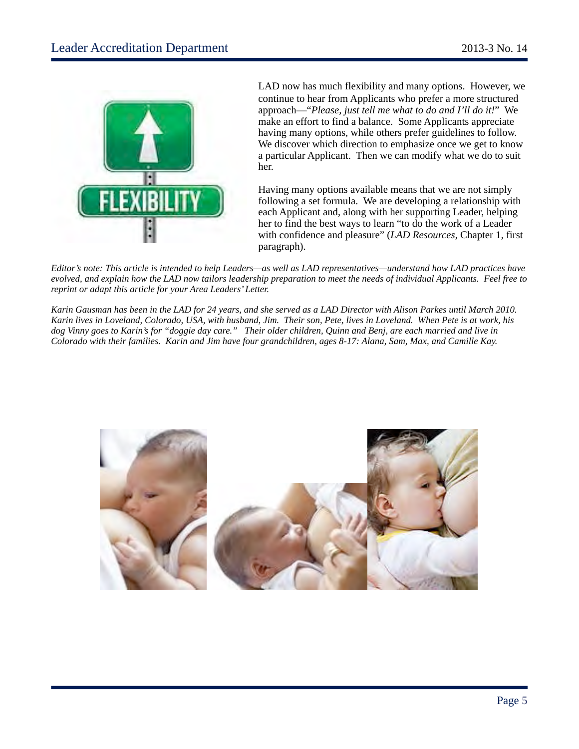

LAD now has much flexibility and many options. However, we continue to hear from Applicants who prefer a more structured approach—"*Please, just tell me what to do and I'll do it!*" We make an effort to find a balance. Some Applicants appreciate having many options, while others prefer guidelines to follow. We discover which direction to emphasize once we get to know a particular Applicant. Then we can modify what we do to suit her.

Having many options available means that we are not simply following a set formula. We are developing a relationship with each Applicant and, along with her supporting Leader, helping her to find the best ways to learn "to do the work of a Leader with confidence and pleasure" (*LAD Resources*, Chapter 1, first paragraph).

*Editor's note: This article is intended to help Leaders—as well as LAD representatives—understand how LAD practices have evolved, and explain how the LAD now tailors leadership preparation to meet the needs of individual Applicants. Feel free to reprint or adapt this article for your Area Leaders' Letter.*

*Karin Gausman has been in the LAD for 24 years, and she served as a LAD Director with Alison Parkes until March 2010. Karin lives in Loveland, Colorado, USA, with husband, Jim. Their son, Pete, lives in Loveland. When Pete is at work, his dog Vinny goes to Karin's for "doggie day care." Their older children, Quinn and Benj, are each married and live in Colorado with their families. Karin and Jim have four grandchildren, ages 8-17: Alana, Sam, Max, and Camille Kay.*

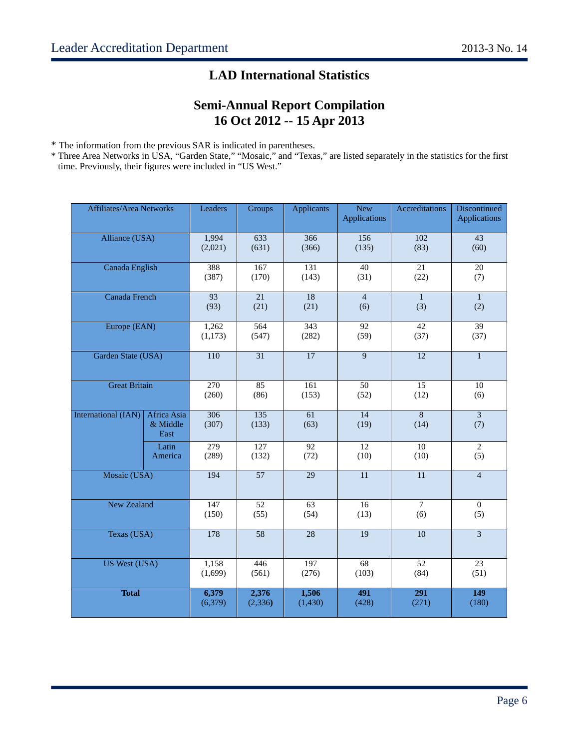# **LAD International Statistics**

# **Semi-Annual Report Compilation 16 Oct 2012 -- 15 Apr 2013**

\* The information from the previous SAR is indicated in parentheses.

\* Three Area Networks in USA, "Garden State," "Mosaic," and "Texas," are listed separately in the statistics for the first time. Previously, their figures were included in "US West."

| <b>Affiliates/Area Networks</b> |                                 | Leaders                   | Groups                    | <b>Applicants</b>         | <b>New</b><br>Applications | Accreditations            | <b>Discontinued</b><br><b>Applications</b> |
|---------------------------------|---------------------------------|---------------------------|---------------------------|---------------------------|----------------------------|---------------------------|--------------------------------------------|
| Alliance (USA)                  |                                 | 1,994<br>(2,021)          | 633<br>(631)              | 366<br>(366)              | 156<br>(135)               | 102<br>(83)               | $\overline{43}$<br>(60)                    |
| Canada English                  |                                 | 388<br>(387)              | 167<br>(170)              | 131<br>(143)              | 40<br>(31)                 | 21<br>(22)                | $\overline{20}$<br>(7)                     |
| Canada French                   |                                 | 93<br>(93)                | 21<br>(21)                | 18<br>(21)                | $\overline{4}$<br>(6)      | $\mathbf{1}$<br>(3)       | $\mathbf{1}$<br>(2)                        |
| Europe (EAN)                    |                                 | 1,262<br>(1,173)          | 564<br>(547)              | $\overline{343}$<br>(282) | 92<br>(59)                 | 42<br>(37)                | 39<br>(37)                                 |
| Garden State (USA)              |                                 | 110                       | $\overline{31}$           | $\overline{17}$           | 9                          | $\overline{12}$           | $\mathbf{1}$                               |
| <b>Great Britain</b>            |                                 | $\overline{270}$<br>(260) | $\overline{85}$<br>(86)   | 161<br>(153)              | 50<br>(52)                 | $\overline{15}$<br>(12)   | 10<br>(6)                                  |
| <b>International (IAN)</b>      | Africa Asia<br>& Middle<br>East | $\overline{306}$<br>(307) | 135<br>(133)              | $\overline{61}$<br>(63)   | $\overline{14}$<br>(19)    | $\overline{8}$<br>(14)    | $\overline{3}$<br>(7)                      |
|                                 | Latin<br>America                | $\overline{279}$<br>(289) | $\overline{127}$<br>(132) | $\overline{92}$<br>(72)   | $\overline{12}$<br>(10)    | $\overline{10}$<br>(10)   | $\mathbf{2}$<br>(5)                        |
| Mosaic (USA)                    |                                 | 194                       | $\overline{57}$           | 29                        | 11                         | 11                        | $\overline{4}$                             |
| <b>New Zealand</b>              |                                 | 147<br>(150)              | 52<br>(55)                | 63<br>(54)                | 16<br>(13)                 | $\overline{7}$<br>(6)     | $\Omega$<br>(5)                            |
| Texas (USA)                     |                                 | 178                       | $\overline{58}$           | 28                        | 19                         | $\overline{10}$           | $\overline{3}$                             |
| <b>US West (USA)</b>            |                                 | 1,158<br>(1,699)          | 446<br>(561)              | 197<br>(276)              | 68<br>(103)                | 52<br>(84)                | 23<br>(51)                                 |
| <b>Total</b>                    |                                 | 6,379<br>(6, 379)         | 2,376<br>(2, 336)         | 1,506<br>(1, 430)         | $\overline{491}$<br>(428)  | $\overline{291}$<br>(271) | $\overline{149}$<br>(180)                  |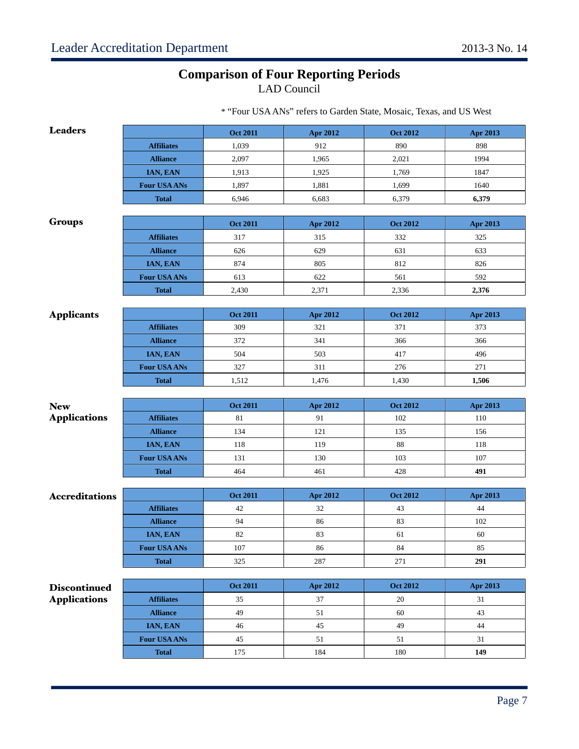# **Comparison of Four Reporting Periods**

LAD Council

| <b>Leaders</b>        |                     | <b>Oct 2011</b> | <b>Apr 2012</b> | <b>Oct 2012</b> | Apr 2013   |
|-----------------------|---------------------|-----------------|-----------------|-----------------|------------|
|                       | <b>Affiliates</b>   | 1,039           | 912             | 890             | 898        |
|                       | <b>Alliance</b>     | 2,097           | 1,965           | 2,021           | 1994       |
|                       | IAN, EAN            | 1,913           | 1,925           | 1,769           | 1847       |
|                       | <b>Four USA ANs</b> | 1,897           | 1,881           | 1,699           | 1640       |
|                       | <b>Total</b>        | 6,946           | 6,683           | 6,379           | 6,379      |
|                       |                     |                 |                 |                 |            |
| <b>Groups</b>         |                     | <b>Oct 2011</b> | Apr 2012        | <b>Oct 2012</b> | Apr 2013   |
|                       | <b>Affiliates</b>   | 317             | 315             | 332             | 325        |
|                       | <b>Alliance</b>     | 626             | 629             | 631             | 633        |
|                       | IAN, EAN            | 874             | 805             | 812             | 826        |
|                       | <b>Four USA ANS</b> | 613             | 622             | 561             | 592        |
|                       | <b>Total</b>        | 2,430           | 2,371           | 2,336           | 2,376      |
|                       |                     |                 |                 |                 |            |
| <b>Applicants</b>     |                     | <b>Oct 2011</b> | <b>Apr 2012</b> | <b>Oct 2012</b> | Apr 2013   |
|                       | <b>Affiliates</b>   | 309             | 321             | 371             | 373        |
|                       | <b>Alliance</b>     | 372             | 341             | 366             | 366        |
|                       | IAN, EAN            | 504             | 503             | 417             | 496        |
|                       | <b>Four USA ANs</b> | 327             | 311             | 276             | 271        |
|                       | <b>Total</b>        | 1,512           | 1,476           | 1,430           | 1,506      |
|                       |                     |                 |                 |                 |            |
| <b>New</b>            |                     | <b>Oct 2011</b> | <b>Apr 2012</b> | <b>Oct 2012</b> | Apr 2013   |
| <b>Applications</b>   | <b>Affiliates</b>   | 81              | 91              | 102             | 110        |
|                       | <b>Alliance</b>     | 134<br>118      | 121<br>119      | 135<br>88       | 156<br>118 |
|                       | IAN, EAN            |                 |                 |                 |            |
|                       | <b>Four USA ANs</b> | 131             | 130             | 103             | 107<br>491 |
|                       | <b>Total</b>        | 464             | 461             | 428             |            |
| <b>Accreditations</b> |                     | <b>Oct 2011</b> | <b>Apr 2012</b> | <b>Oct 2012</b> | Apr 2013   |
|                       | <b>Affiliates</b>   | 42              | 32              | 43              | 44         |
|                       | <b>Alliance</b>     | 94              | 86              | 83              | 102        |
|                       | IAN, EAN            | 82              | 83              | 61              | 60         |
|                       | <b>Four USA ANS</b> | 107             | 86              | 84              | 85         |
|                       | <b>Total</b>        | 325             | 287             | 271             | 291        |
|                       |                     |                 |                 |                 |            |
|                       |                     |                 |                 |                 |            |
| <b>Discontinued</b>   |                     | <b>Oct 2011</b> | Apr 2012        | <b>Oct 2012</b> | Apr 2013   |
| <b>Applications</b>   | <b>Affiliates</b>   | 35              | 37              | 20              | 31         |
|                       | <b>Alliance</b>     | 49              | 51              | 60              | 43         |
|                       | IAN, EAN            | 46              | 45              | 49              | 44         |
|                       | Four USA ANs        | 45              | $51\,$          | 51              | 31         |

\* "Four USA ANs" refers to Garden State, Mosaic, Texas, and US West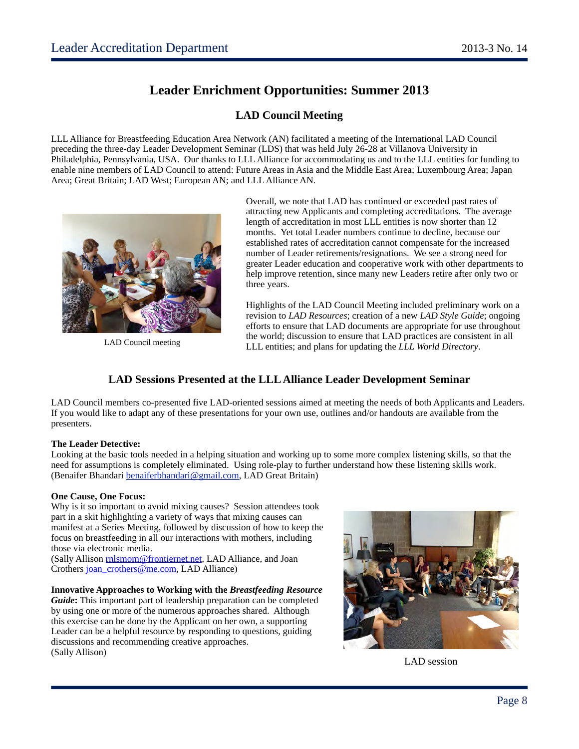# **Leader Enrichment Opportunities: Summer 2013**

### **LAD Council Meeting**

LLL Alliance for Breastfeeding Education Area Network (AN) facilitated a meeting of the International LAD Council preceding the three-day Leader Development Seminar (LDS) that was held July 26-28 at Villanova University in Philadelphia, Pennsylvania, USA. Our thanks to LLL Alliance for accommodating us and to the LLL entities for funding to enable nine members of LAD Council to attend: Future Areas in Asia and the Middle East Area; Luxembourg Area; Japan Area; Great Britain; LAD West; European AN; and LLL Alliance AN.



LAD Council meeting

Overall, we note that LAD has continued or exceeded past rates of attracting new Applicants and completing accreditations. The average length of accreditation in most LLL entities is now shorter than 12 months. Yet total Leader numbers continue to decline, because our established rates of accreditation cannot compensate for the increased number of Leader retirements/resignations. We see a strong need for greater Leader education and cooperative work with other departments to help improve retention, since many new Leaders retire after only two or three years.

Highlights of the LAD Council Meeting included preliminary work on a revision to *LAD Resources*; creation of a new *LAD Style Guide*; ongoing efforts to ensure that LAD documents are appropriate for use throughout the world; discussion to ensure that LAD practices are consistent in all LLL entities; and plans for updating the *LLL World Directory*.

### **LAD Sessions Presented at the LLL Alliance Leader Development Seminar**

LAD Council members co-presented five LAD-oriented sessions aimed at meeting the needs of both Applicants and Leaders. If you would like to adapt any of these presentations for your own use, outlines and/or handouts are available from the presenters.

### **The Leader Detective:**

Looking at the basic tools needed in a helping situation and working up to some more complex listening skills, so that the need for assumptions is completely eliminated. Using role-play to further understand how these listening skills work. (Benaifer Bhandari [benaiferbhandari@gmail.com,](mailto:benaiferbhandari@gmail.com) LAD Great Britain)

### **One Cause, One Focus:**

Why is it so important to avoid mixing causes? Session attendees took part in a skit highlighting a variety of ways that mixing causes can manifest at a Series Meeting, followed by discussion of how to keep the focus on breastfeeding in all our interactions with mothers, including those via electronic media.

(Sally Allison [rnlsmom@frontiernet.net,](mailto:rnlsmom@frontiernet.net) LAD Alliance, and Joan Crothers [joan\\_crothers@me.com,](mailto:joan_crothers@me.com) LAD Alliance)

### **Innovative Approaches to Working with the** *Breastfeeding Resource*

*Guide***:** This important part of leadership preparation can be completed by using one or more of the numerous approaches shared. Although this exercise can be done by the Applicant on her own, a supporting Leader can be a helpful resource by responding to questions, guiding discussions and recommending creative approaches. (Sally Allison)



LAD session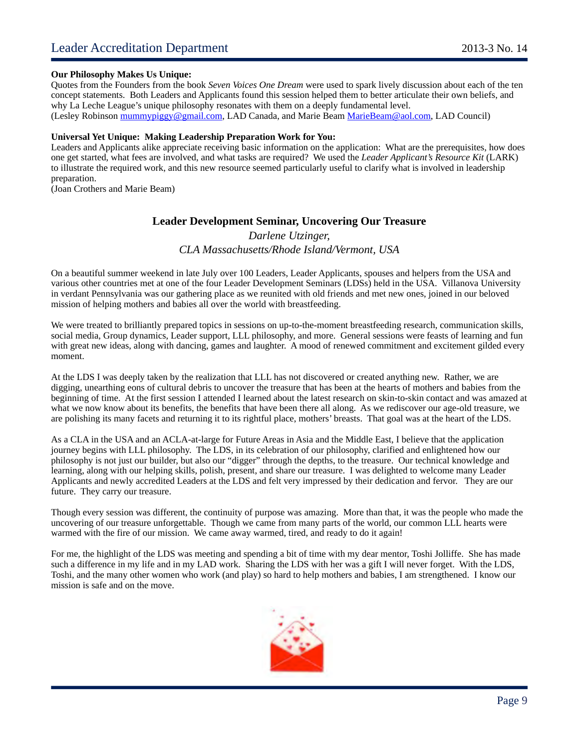#### **Our Philosophy Makes Us Unique:**

Quotes from the Founders from the book *Seven Voices One Dream* were used to spark lively discussion about each of the ten concept statements. Both Leaders and Applicants found this session helped them to better articulate their own beliefs, and why La Leche League's unique philosophy resonates with them on a deeply fundamental level. (Lesley Robinson [mummypiggy@gmail.com,](mailto:mummypiggy@gmail.com) LAD Canada, and Marie Beam [MarieBeam@aol.com,](mailto:MarieBeam@aol.com) LAD Council)

#### **Universal Yet Unique: Making Leadership Preparation Work for You:**

Leaders and Applicants alike appreciate receiving basic information on the application: What are the prerequisites, how does one get started, what fees are involved, and what tasks are required? We used the *Leader Applicant's Resource Kit* (LARK) to illustrate the required work, and this new resource seemed particularly useful to clarify what is involved in leadership preparation.

(Joan Crothers and Marie Beam)

### **Leader Development Seminar, Uncovering Our Treasure**

*Darlene Utzinger, CLA Massachusetts/Rhode Island/Vermont, USA*

On a beautiful summer weekend in late July over 100 Leaders, Leader Applicants, spouses and helpers from the USA and various other countries met at one of the four Leader Development Seminars (LDSs) held in the USA. Villanova University in verdant Pennsylvania was our gathering place as we reunited with old friends and met new ones, joined in our beloved mission of helping mothers and babies all over the world with breastfeeding.

We were treated to brilliantly prepared topics in sessions on up-to-the-moment breastfeeding research, communication skills, social media, Group dynamics, Leader support, LLL philosophy, and more. General sessions were feasts of learning and fun with great new ideas, along with dancing, games and laughter. A mood of renewed commitment and excitement gilded every moment.

At the LDS I was deeply taken by the realization that LLL has not discovered or created anything new. Rather, we are digging, unearthing eons of cultural debris to uncover the treasure that has been at the hearts of mothers and babies from the beginning of time. At the first session I attended I learned about the latest research on skin-to-skin contact and was amazed at what we now know about its benefits, the benefits that have been there all along. As we rediscover our age-old treasure, we are polishing its many facets and returning it to its rightful place, mothers' breasts. That goal was at the heart of the LDS.

As a CLA in the USA and an ACLA-at-large for Future Areas in Asia and the Middle East, I believe that the application journey begins with LLL philosophy. The LDS, in its celebration of our philosophy, clarified and enlightened how our philosophy is not just our builder, but also our "digger" through the depths, to the treasure. Our technical knowledge and learning, along with our helping skills, polish, present, and share our treasure. I was delighted to welcome many Leader Applicants and newly accredited Leaders at the LDS and felt very impressed by their dedication and fervor. They are our future. They carry our treasure.

Though every session was different, the continuity of purpose was amazing. More than that, it was the people who made the uncovering of our treasure unforgettable. Though we came from many parts of the world, our common LLL hearts were warmed with the fire of our mission. We came away warmed, tired, and ready to do it again!

For me, the highlight of the LDS was meeting and spending a bit of time with my dear mentor, Toshi Jolliffe. She has made such a difference in my life and in my LAD work. Sharing the LDS with her was a gift I will never forget. With the LDS, Toshi, and the many other women who work (and play) so hard to help mothers and babies, I am strengthened. I know our mission is safe and on the move.

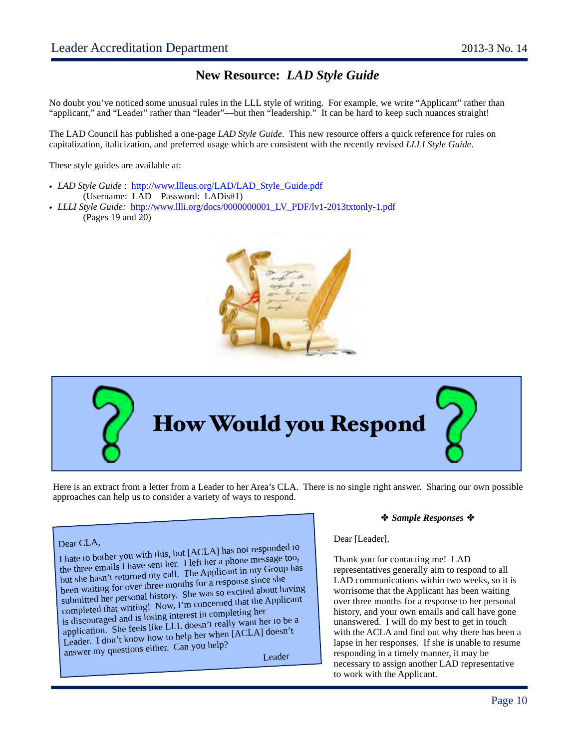## **New Resource:** *LAD Style Guide*

No doubt you've noticed some unusual rules in the LLL style of writing. For example, we write "Applicant" rather than "applicant," and "Leader" rather than "leader"—but then "leadership." It can be hard to keep such nuances straight!

The LAD Council has published a one-page *LAD Style Guide*. This new resource offers a quick reference for rules on capitalization, italicization, and preferred usage which are consistent with the recently revised *LLLI Style Guide*.

These style guides are available at:

- *LAD Style Guide*: [http://www.llleus.org/LAD/LAD\\_Style\\_Guide.pdf](http://www.llleus.org/LAD/LAD_Style_Guide.pdf)
- (Username: LAD Password: LADis#1)
- *LLLI Style Guide:* http://www.llli.org/docs/0000000001 LV\_PDF/lv1-2013txtonly-1.pdf (Pages 19 and 20)





Here is an extract from a letter from a Leader to her Area's CLA. There is no single right answer. Sharing our own possible approaches can help us to consider a variety of ways to respond.

### Dear CLA,

I hate to bother you with this, but [ACLA] has not responded to the three emails I have sent her. I left her a phone message too, but she hasn't returned my call. The Applicant in my Group has been waiting for over three months for a response since she submitted her personal history. She was so excited about having completed that writing! Now, I'm concerned that the Applicant is discouraged and is losing interest in completing her application. She feels like LLL doesn't really want her to be a Leader. I don't know how to help her when [ACLA] doesn't Leader. Toon twish the can you help? Leader<br>
Leader

#### *Sample Responses*

#### Dear [Leader],

Thank you for contacting me! LAD representatives generally aim to respond to all LAD communications within two weeks, so it is worrisome that the Applicant has been waiting over three months for a response to her personal history, and your own emails and call have gone unanswered. I will do my best to get in touch with the ACLA and find out why there has been a lapse in her responses. If she is unable to resume responding in a timely manner, it may be necessary to assign another LAD representative to work with the Applicant.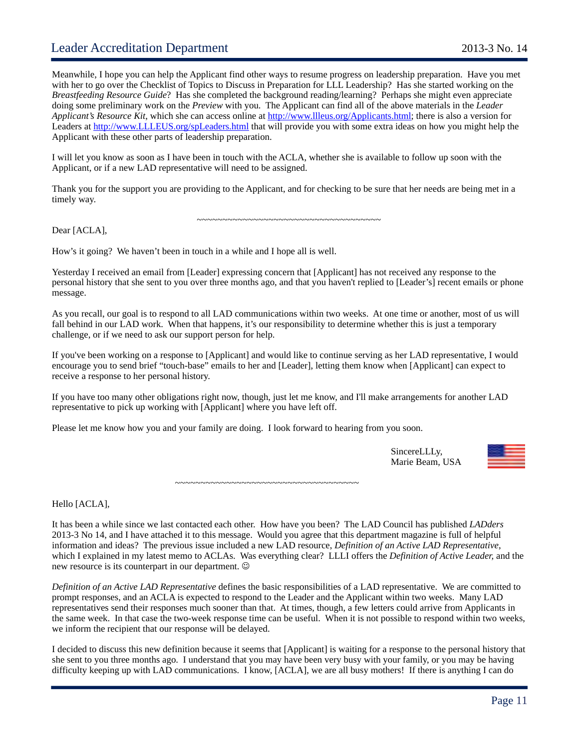### Leader Accreditation Department 2013-3 No. 14

Meanwhile, I hope you can help the Applicant find other ways to resume progress on leadership preparation. Have you met with her to go over the Checklist of Topics to Discuss in Preparation for LLL Leadership? Has she started working on the *Breastfeeding Resource Guide*? Has she completed the background reading/learning? Perhaps she might even appreciate doing some preliminary work on the *Preview* with you. The Applicant can find all of the above materials in the *Leader Applicant's Resource Kit*, which she can access online at [http://www.llleus.org/Applicants.html;](http://www.llleus.org/Applicants.html) there is also a version for Leaders at<http://www.LLLEUS.org/spLeaders.html>that will provide you with some extra ideas on how you might help the Applicant with these other parts of leadership preparation.

I will let you know as soon as I have been in touch with the ACLA, whether she is available to follow up soon with the Applicant, or if a new LAD representative will need to be assigned.

Thank you for the support you are providing to the Applicant, and for checking to be sure that her needs are being met in a timely way.

*~~~~~~~~~~~~~~~~~~~~~~~~~~~~~~~~~~~~*

Dear [ACLA],

How's it going? We haven't been in touch in a while and I hope all is well.

Yesterday I received an email from [Leader] expressing concern that [Applicant] has not received any response to the personal history that she sent to you over three months ago, and that you haven't replied to [Leader's] recent emails or phone message.

As you recall, our goal is to respond to all LAD communications within two weeks. At one time or another, most of us will fall behind in our LAD work. When that happens, it's our responsibility to determine whether this is just a temporary challenge, or if we need to ask our support person for help.

If you've been working on a response to [Applicant] and would like to continue serving as her LAD representative, I would encourage you to send brief "touch-base" emails to her and [Leader], letting them know when [Applicant] can expect to receive a response to her personal history.

If you have too many other obligations right now, though, just let me know, and I'll make arrangements for another LAD representative to pick up working with [Applicant] where you have left off.

Please let me know how you and your family are doing. I look forward to hearing from you soon.

 SincereLLLy, Marie Beam, USA



*~~~~~~~~~~~~~~~~~~~~~~~~~~~~~~~~~~~~*

Hello [ACLA],

It has been a while since we last contacted each other. How have you been? The LAD Council has published *LADders* 2013-3 No 14, and I have attached it to this message. Would you agree that this department magazine is full of helpful information and ideas? The previous issue included a new LAD resource, *Definition of an Active LAD Representative*, which I explained in my latest memo to ACLAs. Was everything clear? LLLI offers the *Definition of Active Leader,* and the new resource is its counterpart in our department.  $\odot$ 

*Definition of an Active LAD Representative* defines the basic responsibilities of a LAD representative. We are committed to prompt responses, and an ACLA is expected to respond to the Leader and the Applicant within two weeks. Many LAD representatives send their responses much sooner than that. At times, though, a few letters could arrive from Applicants in the same week. In that case the two-week response time can be useful. When it is not possible to respond within two weeks, we inform the recipient that our response will be delayed.

I decided to discuss this new definition because it seems that [Applicant] is waiting for a response to the personal history that she sent to you three months ago. I understand that you may have been very busy with your family, or you may be having difficulty keeping up with LAD communications. I know, [ACLA], we are all busy mothers! If there is anything I can do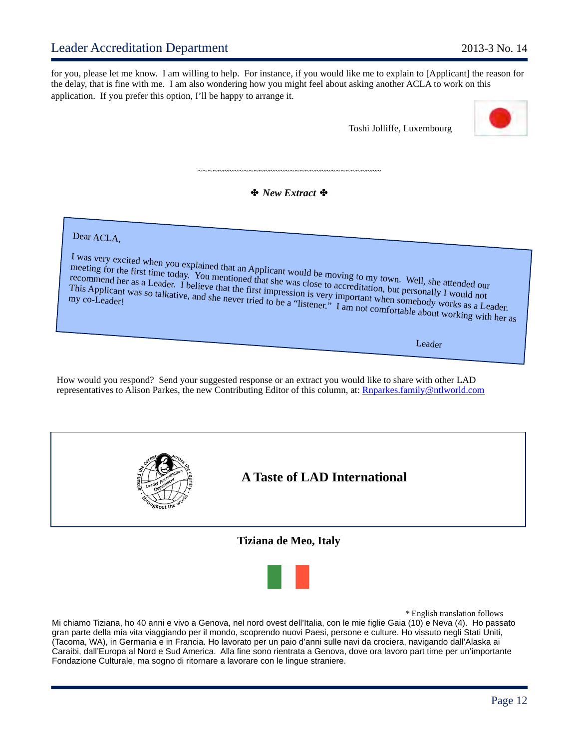for you, please let me know. I am willing to help. For instance, if you would like me to explain to [Applicant] the reason for the delay, that is fine with me. I am also wondering how you might feel about asking another ACLA to work on this application. If you prefer this option, I'll be happy to arrange it.

Toshi Jolliffe, Luxembourg



*New Extract* 

*~~~~~~~~~~~~~~~~~~~~~~~~~~~~~~~~~~~~*

Dear ACLA,

I was very excited when you explained that an Applicant would be moving to my town. Well, she attended our meeting for the first time today. You mentioned that she was close to accreditation, but personally I would not recommend her as a Leader. I believe that the first impression is very important when someboally I would not<br>This Applicant was so talkative, and she never tried to be a "listener." I am not comfortable used works as a Lea This Applicant was so talkative, and she never tried to be a "listener." I am not comfortable about working with her as<br>my co-Leader!<br>More tried to be a "listener." I am not comfortable about working with her as

Leader

How would you respond? Send your suggested response or an extract you would like to share with other LAD representatives to Alison Parkes, the new Contributing Editor of this column, at: [Rnparkes.family@ntlworld.com](mailto:Rnparkes.family@ntlworld.com)





*\** English translation follows

Mi chiamo Tiziana, ho 40 anni e vivo a Genova, nel nord ovest dell'Italia, con le mie figlie Gaia (10) e Neva (4). Ho passato gran parte della mia vita viaggiando per il mondo, scoprendo nuovi Paesi, persone e culture. Ho vissuto negli Stati Uniti, (Tacoma, WA), in Germania e in Francia. Ho lavorato per un paio d'anni sulle navi da crociera, navigando dall'Alaska ai Caraibi, dall'Europa al Nord e Sud America. Alla fine sono rientrata a Genova, dove ora lavoro part time per un'importante Fondazione Culturale, ma sogno di ritornare a lavorare con le lingue straniere.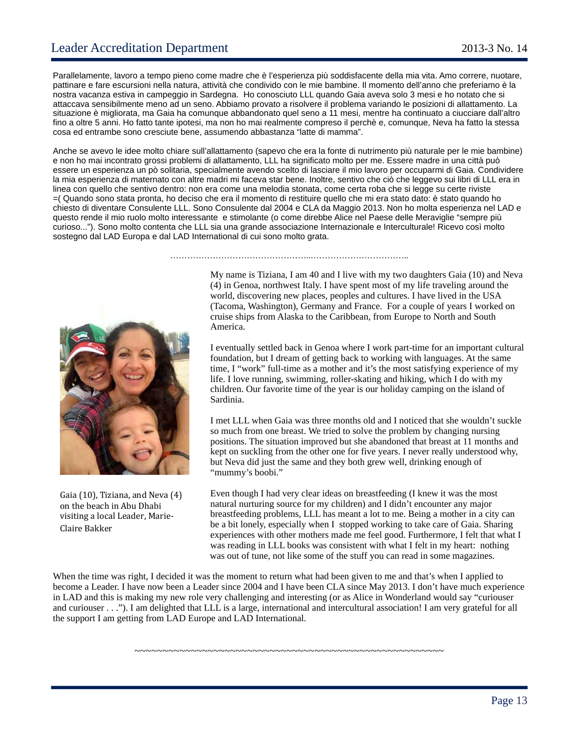Parallelamente, lavoro a tempo pieno come madre che è l'esperienza più soddisfacente della mia vita. Amo correre, nuotare, pattinare e fare escursioni nella natura, attività che condivido con le mie bambine. Il momento dell'anno che preferiamo è la nostra vacanza estiva in campeggio in Sardegna. Ho conosciuto LLL quando Gaia aveva solo 3 mesi e ho notato che si attaccava sensibilmente meno ad un seno. Abbiamo provato a risolvere il problema variando le posizioni di allattamento. La situazione è migliorata, ma Gaia ha comunque abbandonato quel seno a 11 mesi, mentre ha continuato a ciucciare dall'altro fino a oltre 5 anni. Ho fatto tante ipotesi, ma non ho mai realmente compreso il perchè e, comunque, Neva ha fatto la stessa cosa ed entrambe sono cresciute bene, assumendo abbastanza "latte di mamma".

Anche se avevo le idee molto chiare sull'allattamento (sapevo che era la fonte di nutrimento più naturale per le mie bambine) e non ho mai incontrato grossi problemi di allattamento, LLL ha significato molto per me. Essere madre in una città può essere un esperienza un pò solitaria, specialmente avendo scelto di lasciare il mio lavoro per occuparmi di Gaia. Condividere la mia esperienza di maternato con altre madri mi faceva star bene. Inoltre, sentivo che ciò che leggevo sui libri di LLL era in linea con quello che sentivo dentro: non era come una melodia stonata, come certa roba che si legge su certe riviste =( Quando sono stata pronta, ho deciso che era il momento di restituire quello che mi era stato dato: è stato quando ho chiesto di diventare Consulente LLL. Sono Consulente dal 2004 e CLA da Maggio 2013. Non ho molta esperienza nel LAD e questo rende il mio ruolo molto interessante e stimolante (o come direbbe Alice nel Paese delle Meraviglie "sempre più curioso..."). Sono molto contenta che LLL sia una grande associazione Internazionale e Interculturale! Ricevo così molto sostegno dal LAD Europa e dal LAD International di cui sono molto grata.

…………………………………………..……………………………..



Gaia (10), Tiziana, and Neva (4) on the beach in Abu Dhabi visiting a local Leader, Marie-Claire Bakker

My name is Tiziana, I am 40 and I live with my two daughters Gaia (10) and Neva (4) in Genoa, northwest Italy. I have spent most of my life traveling around the world, discovering new places, peoples and cultures. I have lived in the USA (Tacoma, Washington), Germany and France. For a couple of years I worked on cruise ships from Alaska to the Caribbean, from Europe to North and South America.

I eventually settled back in Genoa where I work part-time for an important cultural foundation, but I dream of getting back to working with languages. At the same time, I "work" full-time as a mother and it's the most satisfying experience of my life. I love running, swimming, roller-skating and hiking, which I do with my children. Our favorite time of the year is our holiday camping on the island of Sardinia.

I met LLL when Gaia was three months old and I noticed that she wouldn't suckle so much from one breast. We tried to solve the problem by changing nursing positions. The situation improved but she abandoned that breast at 11 months and kept on suckling from the other one for five years. I never really understood why, but Neva did just the same and they both grew well, drinking enough of "mummy's boobi."

Even though I had very clear ideas on breastfeeding (I knew it was the most natural nurturing source for my children) and I didn't encounter any major breastfeeding problems, LLL has meant a lot to me. Being a mother in a city can be a bit lonely, especially when I stopped working to take care of Gaia. Sharing experiences with other mothers made me feel good. Furthermore, I felt that what I was reading in LLL books was consistent with what I felt in my heart: nothing was out of tune, not like some of the stuff you can read in some magazines.

When the time was right, I decided it was the moment to return what had been given to me and that's when I applied to become a Leader. I have now been a Leader since 2004 and I have been CLA since May 2013. I don't have much experience in LAD and this is making my new role very challenging and interesting (or as Alice in Wonderland would say "curiouser and curiouser . . ."). I am delighted that LLL is a large, international and intercultural association! I am very grateful for all the support I am getting from LAD Europe and LAD International.

~~~~~~~~~~~~~~~~~~~~~~~~~~~~~~~~~~~~~~~~~~~~~~~~~~~~~~~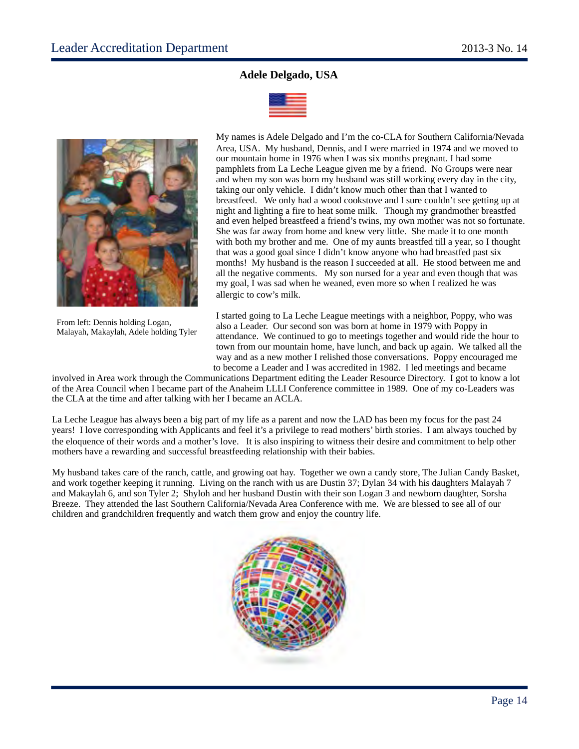### **Adele Delgado, USA**





From left: Dennis holding Logan, Malayah, Makaylah, Adele holding Tyler My names is Adele Delgado and I'm the co-CLA for Southern California/Nevada Area, USA. My husband, Dennis, and I were married in 1974 and we moved to our mountain home in 1976 when I was six months pregnant. I had some pamphlets from La Leche League given me by a friend. No Groups were near and when my son was born my husband was still working every day in the city, taking our only vehicle. I didn't know much other than that I wanted to breastfeed. We only had a wood cookstove and I sure couldn't see getting up at night and lighting a fire to heat some milk. Though my grandmother breastfed and even helped breastfeed a friend's twins, my own mother was not so fortunate. She was far away from home and knew very little. She made it to one month with both my brother and me. One of my aunts breastfed till a year, so I thought that was a good goal since I didn't know anyone who had breastfed past six months! My husband is the reason I succeeded at all. He stood between me and all the negative comments. My son nursed for a year and even though that was my goal, I was sad when he weaned, even more so when I realized he was allergic to cow's milk.

I started going to La Leche League meetings with a neighbor, Poppy, who was also a Leader. Our second son was born at home in 1979 with Poppy in attendance. We continued to go to meetings together and would ride the hour to town from our mountain home, have lunch, and back up again. We talked all the way and as a new mother I relished those conversations. Poppy encouraged me to become a Leader and I was accredited in 1982. I led meetings and became

involved in Area work through the Communications Department editing the Leader Resource Directory. I got to know a lot of the Area Council when I became part of the Anaheim LLLI Conference committee in 1989. One of my co-Leaders was the CLA at the time and after talking with her I became an ACLA.

La Leche League has always been a big part of my life as a parent and now the LAD has been my focus for the past 24 years! I love corresponding with Applicants and feel it's a privilege to read mothers' birth stories. I am always touched by the eloquence of their words and a mother's love. It is also inspiring to witness their desire and commitment to help other mothers have a rewarding and successful breastfeeding relationship with their babies.

My husband takes care of the ranch, cattle, and growing oat hay. Together we own a candy store, The Julian Candy Basket, and work together keeping it running. Living on the ranch with us are Dustin 37; Dylan 34 with his daughters Malayah 7 and Makaylah 6, and son Tyler 2; Shyloh and her husband Dustin with their son Logan 3 and newborn daughter, Sorsha Breeze. They attended the last Southern California/Nevada Area Conference with me. We are blessed to see all of our children and grandchildren frequently and watch them grow and enjoy the country life.

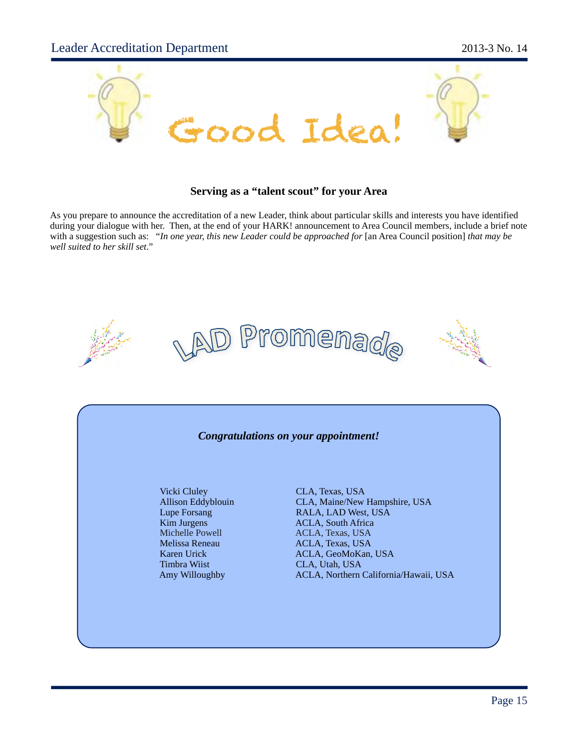

### **Serving as a "talent scout" for your Area**

As you prepare to announce the accreditation of a new Leader, think about particular skills and interests you have identified during your dialogue with her. Then, at the end of your HARK! announcement to Area Council members, include a brief note with a suggestion such as: "*In one year, this new Leader could be approached for* [an Area Council position] *that may be well suited to her skill set*."







### *Congratulations on your appointment!*

Vicki Cluley CLA, Texas, USA Michelle Powell ACLA, Texas, USA Melissa Reneau ACLA, Texas, USA<br>Karen Urick ACLA, GeoMoKan, Timbra Wiist CLA, Utah, USA

Allison Eddyblouin CLA, Maine/New Hampshire, USA Lupe Forsang RALA, LAD West, USA<br>
Kim Jurgens ACLA, South Africa ACLA, South Africa ACLA, GeoMoKan, USA Amy Willoughby ACLA, Northern California/Hawaii, USA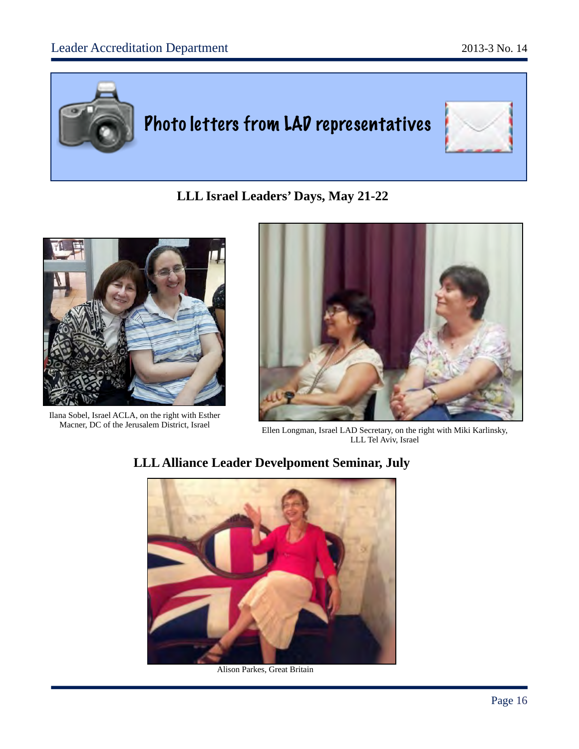

**LLL Israel Leaders' Days, May 21-22**



Ilana Sobel, Israel ACLA, on the right with Esther Macner, DC of the Jerusalem District, Israel



Ellen Longman, Israel LAD Secretary, on the right with Miki Karlinsky, LLL Tel Aviv, Israel



Alison Parkes, Great Britain

# **LLL Alliance Leader Develpoment Seminar, July**